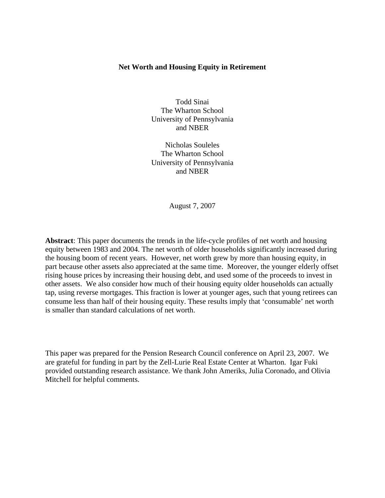# **Net Worth and Housing Equity in Retirement**

Todd Sinai The Wharton School University of Pennsylvania and NBER

Nicholas Souleles The Wharton School University of Pennsylvania and NBER

August 7, 2007

**Abstract**: This paper documents the trends in the life-cycle profiles of net worth and housing equity between 1983 and 2004. The net worth of older households significantly increased during the housing boom of recent years. However, net worth grew by more than housing equity, in part because other assets also appreciated at the same time. Moreover, the younger elderly offset rising house prices by increasing their housing debt, and used some of the proceeds to invest in other assets. We also consider how much of their housing equity older households can actually tap, using reverse mortgages. This fraction is lower at younger ages, such that young retirees can consume less than half of their housing equity. These results imply that 'consumable' net worth is smaller than standard calculations of net worth.

This paper was prepared for the Pension Research Council conference on April 23, 2007. We are grateful for funding in part by the Zell-Lurie Real Estate Center at Wharton. Igar Fuki provided outstanding research assistance. We thank John Ameriks, Julia Coronado, and Olivia Mitchell for helpful comments.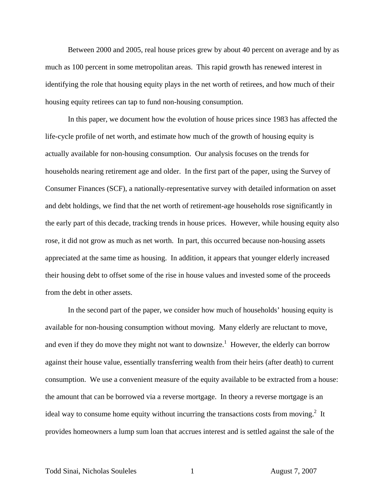Between 2000 and 2005, real house prices grew by about 40 percent on average and by as much as 100 percent in some metropolitan areas. This rapid growth has renewed interest in identifying the role that housing equity plays in the net worth of retirees, and how much of their housing equity retirees can tap to fund non-housing consumption.

 In this paper, we document how the evolution of house prices since 1983 has affected the life-cycle profile of net worth, and estimate how much of the growth of housing equity is actually available for non-housing consumption. Our analysis focuses on the trends for households nearing retirement age and older. In the first part of the paper, using the Survey of Consumer Finances (SCF), a nationally-representative survey with detailed information on asset and debt holdings, we find that the net worth of retirement-age households rose significantly in the early part of this decade, tracking trends in house prices. However, while housing equity also rose, it did not grow as much as net worth. In part, this occurred because non-housing assets appreciated at the same time as housing. In addition, it appears that younger elderly increased their housing debt to offset some of the rise in house values and invested some of the proceeds from the debt in other assets.

 In the second part of the paper, we consider how much of households' housing equity is available for non-housing consumption without moving. Many elderly are reluctant to move, and even if they do move they might not want to downsize.<sup>1</sup> However, the elderly can borrow against their house value, essentially transferring wealth from their heirs (after death) to current consumption. We use a convenient measure of the equity available to be extracted from a house: the amount that can be borrowed via a reverse mortgage. In theory a reverse mortgage is an ideal way to consume home equity without incurring the transactions costs from moving.<sup>2</sup> It provides homeowners a lump sum loan that accrues interest and is settled against the sale of the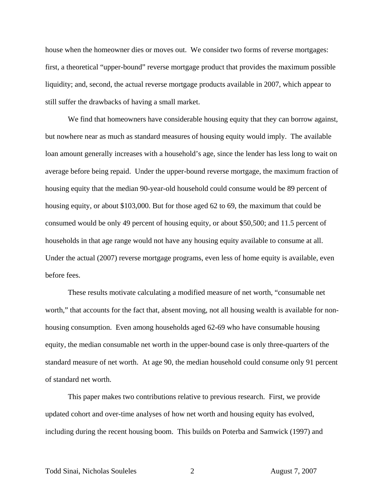house when the homeowner dies or moves out. We consider two forms of reverse mortgages: first, a theoretical "upper-bound" reverse mortgage product that provides the maximum possible liquidity; and, second, the actual reverse mortgage products available in 2007, which appear to still suffer the drawbacks of having a small market.

We find that homeowners have considerable housing equity that they can borrow against, but nowhere near as much as standard measures of housing equity would imply. The available loan amount generally increases with a household's age, since the lender has less long to wait on average before being repaid. Under the upper-bound reverse mortgage, the maximum fraction of housing equity that the median 90-year-old household could consume would be 89 percent of housing equity, or about \$103,000. But for those aged 62 to 69, the maximum that could be consumed would be only 49 percent of housing equity, or about \$50,500; and 11.5 percent of households in that age range would not have any housing equity available to consume at all. Under the actual (2007) reverse mortgage programs, even less of home equity is available, even before fees.

 These results motivate calculating a modified measure of net worth, "consumable net worth," that accounts for the fact that, absent moving, not all housing wealth is available for nonhousing consumption. Even among households aged 62-69 who have consumable housing equity, the median consumable net worth in the upper-bound case is only three-quarters of the standard measure of net worth. At age 90, the median household could consume only 91 percent of standard net worth.

 This paper makes two contributions relative to previous research. First, we provide updated cohort and over-time analyses of how net worth and housing equity has evolved, including during the recent housing boom. This builds on Poterba and Samwick (1997) and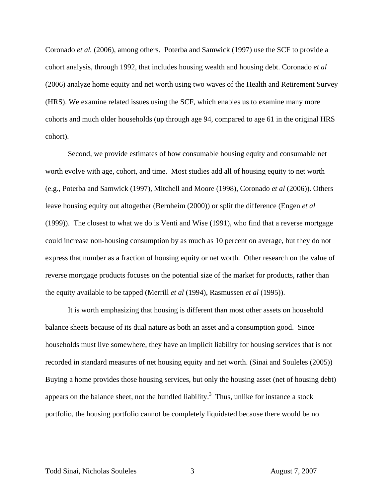Coronado *et al.* (2006), among others. Poterba and Samwick (1997) use the SCF to provide a cohort analysis, through 1992, that includes housing wealth and housing debt. Coronado *et al* (2006) analyze home equity and net worth using two waves of the Health and Retirement Survey (HRS). We examine related issues using the SCF, which enables us to examine many more cohorts and much older households (up through age 94, compared to age 61 in the original HRS cohort).

Second, we provide estimates of how consumable housing equity and consumable net worth evolve with age, cohort, and time. Most studies add all of housing equity to net worth (e.g., Poterba and Samwick (1997), Mitchell and Moore (1998), Coronado *et al* (2006)). Others leave housing equity out altogether (Bernheim (2000)) or split the difference (Engen *et al* (1999)). The closest to what we do is Venti and Wise (1991), who find that a reverse mortgage could increase non-housing consumption by as much as 10 percent on average, but they do not express that number as a fraction of housing equity or net worth. Other research on the value of reverse mortgage products focuses on the potential size of the market for products, rather than the equity available to be tapped (Merrill *et al* (1994), Rasmussen *et al* (1995)).

 It is worth emphasizing that housing is different than most other assets on household balance sheets because of its dual nature as both an asset and a consumption good. Since households must live somewhere, they have an implicit liability for housing services that is not recorded in standard measures of net housing equity and net worth. (Sinai and Souleles (2005)) Buying a home provides those housing services, but only the housing asset (net of housing debt) appears on the balance sheet, not the bundled liability.<sup>3</sup> Thus, unlike for instance a stock portfolio, the housing portfolio cannot be completely liquidated because there would be no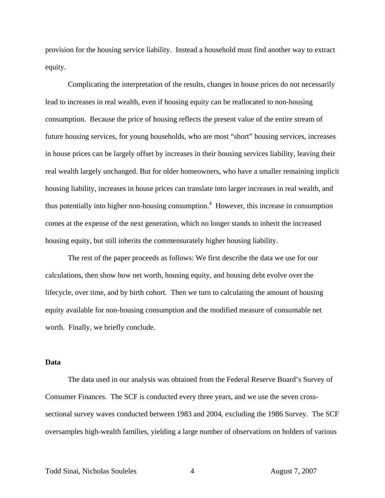provision for the housing service liability. Instead a household must find another way to extract equity.

 Complicating the interpretation of the results, changes in house prices do not necessarily lead to increases in real wealth, even if housing equity can be reallocated to non-housing consumption. Because the price of housing reflects the present value of the entire stream of future housing services, for young households, who are most "short" housing services, increases in house prices can be largely offset by increases in their housing services liability, leaving their real wealth largely unchanged. But for older homeowners, who have a smaller remaining implicit housing liability, increases in house prices can translate into larger increases in real wealth, and thus potentially into higher non-housing consumption.<sup>4</sup> However, this increase in consumption comes at the expense of the next generation, which no longer stands to inherit the increased housing equity, but still inherits the commensurately higher housing liability.

The rest of the paper proceeds as follows: We first describe the data we use for our calculations, then show how net worth, housing equity, and housing debt evolve over the lifecycle, over time, and by birth cohort. Then we turn to calculating the amount of housing equity available for non-housing consumption and the modified measure of consumable net worth. Finally, we briefly conclude.

### **Data**

The data used in our analysis was obtained from the Federal Reserve Board's Survey of Consumer Finances. The SCF is conducted every three years, and we use the seven crosssectional survey waves conducted between 1983 and 2004, excluding the 1986 Survey. The SCF oversamples high-wealth families, yielding a large number of observations on holders of various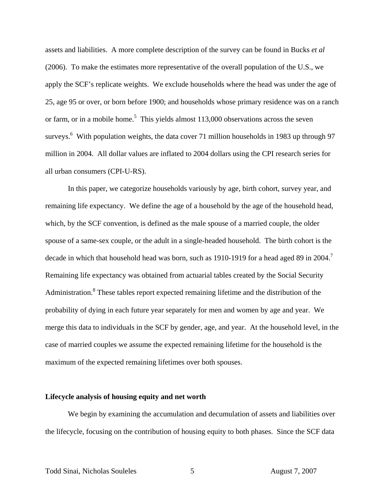assets and liabilities. A more complete description of the survey can be found in Bucks *et al* (2006). To make the estimates more representative of the overall population of the U.S., we apply the SCF's replicate weights. We exclude households where the head was under the age of 25, age 95 or over, or born before 1900; and households whose primary residence was on a ranch or farm, or in a mobile home.<sup>5</sup> This yields almost  $113,000$  observations across the seven surveys.<sup>6</sup> With population weights, the data cover 71 million households in 1983 up through 97 million in 2004. All dollar values are inflated to 2004 dollars using the CPI research series for all urban consumers (CPI-U-RS).

 In this paper, we categorize households variously by age, birth cohort, survey year, and remaining life expectancy. We define the age of a household by the age of the household head, which, by the SCF convention, is defined as the male spouse of a married couple, the older spouse of a same-sex couple, or the adult in a single-headed household. The birth cohort is the decade in which that household head was born, such as 1910-1919 for a head aged 89 in 2004.<sup>7</sup> Remaining life expectancy was obtained from actuarial tables created by the Social Security Administration.<sup>8</sup> These tables report expected remaining lifetime and the distribution of the probability of dying in each future year separately for men and women by age and year. We merge this data to individuals in the SCF by gender, age, and year. At the household level, in the case of married couples we assume the expected remaining lifetime for the household is the maximum of the expected remaining lifetimes over both spouses.

## **Lifecycle analysis of housing equity and net worth**

 We begin by examining the accumulation and decumulation of assets and liabilities over the lifecycle, focusing on the contribution of housing equity to both phases. Since the SCF data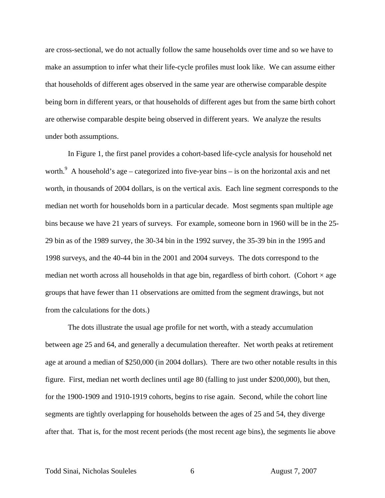are cross-sectional, we do not actually follow the same households over time and so we have to make an assumption to infer what their life-cycle profiles must look like. We can assume either that households of different ages observed in the same year are otherwise comparable despite being born in different years, or that households of different ages but from the same birth cohort are otherwise comparable despite being observed in different years. We analyze the results under both assumptions.

 In Figure 1, the first panel provides a cohort-based life-cycle analysis for household net worth.<sup>9</sup> A household's age – categorized into five-year bins – is on the horizontal axis and net worth, in thousands of 2004 dollars, is on the vertical axis. Each line segment corresponds to the median net worth for households born in a particular decade. Most segments span multiple age bins because we have 21 years of surveys. For example, someone born in 1960 will be in the 25- 29 bin as of the 1989 survey, the 30-34 bin in the 1992 survey, the 35-39 bin in the 1995 and 1998 surveys, and the 40-44 bin in the 2001 and 2004 surveys. The dots correspond to the median net worth across all households in that age bin, regardless of birth cohort. (Cohort  $\times$  age groups that have fewer than 11 observations are omitted from the segment drawings, but not from the calculations for the dots.)

 The dots illustrate the usual age profile for net worth, with a steady accumulation between age 25 and 64, and generally a decumulation thereafter. Net worth peaks at retirement age at around a median of \$250,000 (in 2004 dollars). There are two other notable results in this figure. First, median net worth declines until age 80 (falling to just under \$200,000), but then, for the 1900-1909 and 1910-1919 cohorts, begins to rise again. Second, while the cohort line segments are tightly overlapping for households between the ages of 25 and 54, they diverge after that. That is, for the most recent periods (the most recent age bins), the segments lie above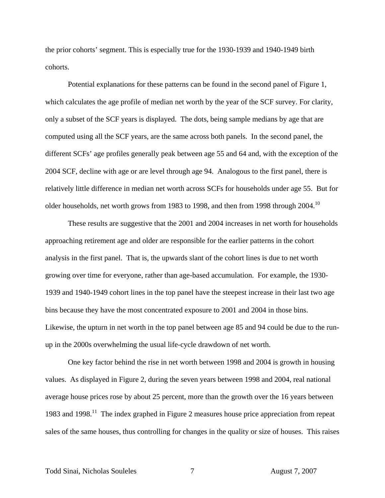the prior cohorts' segment. This is especially true for the 1930-1939 and 1940-1949 birth cohorts.

 Potential explanations for these patterns can be found in the second panel of Figure 1, which calculates the age profile of median net worth by the year of the SCF survey. For clarity, only a subset of the SCF years is displayed. The dots, being sample medians by age that are computed using all the SCF years, are the same across both panels. In the second panel, the different SCFs' age profiles generally peak between age 55 and 64 and, with the exception of the 2004 SCF, decline with age or are level through age 94. Analogous to the first panel, there is relatively little difference in median net worth across SCFs for households under age 55. But for older households, net worth grows from 1983 to 1998, and then from 1998 through 2004.<sup>10</sup>

 These results are suggestive that the 2001 and 2004 increases in net worth for households approaching retirement age and older are responsible for the earlier patterns in the cohort analysis in the first panel. That is, the upwards slant of the cohort lines is due to net worth growing over time for everyone, rather than age-based accumulation. For example, the 1930- 1939 and 1940-1949 cohort lines in the top panel have the steepest increase in their last two age bins because they have the most concentrated exposure to 2001 and 2004 in those bins. Likewise, the upturn in net worth in the top panel between age 85 and 94 could be due to the runup in the 2000s overwhelming the usual life-cycle drawdown of net worth.

 One key factor behind the rise in net worth between 1998 and 2004 is growth in housing values. As displayed in Figure 2, during the seven years between 1998 and 2004, real national average house prices rose by about 25 percent, more than the growth over the 16 years between 1983 and 1998.<sup>11</sup> The index graphed in Figure 2 measures house price appreciation from repeat sales of the same houses, thus controlling for changes in the quality or size of houses. This raises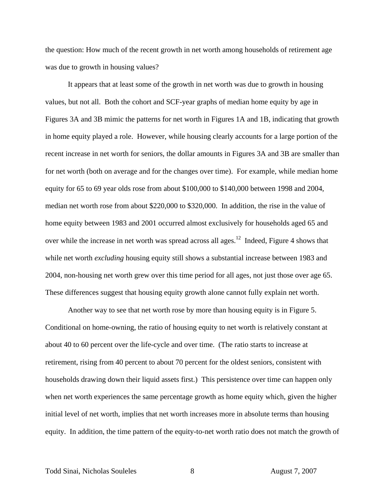the question: How much of the recent growth in net worth among households of retirement age was due to growth in housing values?

 It appears that at least some of the growth in net worth was due to growth in housing values, but not all. Both the cohort and SCF-year graphs of median home equity by age in Figures 3A and 3B mimic the patterns for net worth in Figures 1A and 1B, indicating that growth in home equity played a role. However, while housing clearly accounts for a large portion of the recent increase in net worth for seniors, the dollar amounts in Figures 3A and 3B are smaller than for net worth (both on average and for the changes over time). For example, while median home equity for 65 to 69 year olds rose from about \$100,000 to \$140,000 between 1998 and 2004, median net worth rose from about \$220,000 to \$320,000. In addition, the rise in the value of home equity between 1983 and 2001 occurred almost exclusively for households aged 65 and over while the increase in net worth was spread across all ages.<sup>12</sup> Indeed, Figure 4 shows that while net worth *excluding* housing equity still shows a substantial increase between 1983 and 2004, non-housing net worth grew over this time period for all ages, not just those over age 65. These differences suggest that housing equity growth alone cannot fully explain net worth.

 Another way to see that net worth rose by more than housing equity is in Figure 5. Conditional on home-owning, the ratio of housing equity to net worth is relatively constant at about 40 to 60 percent over the life-cycle and over time. (The ratio starts to increase at retirement, rising from 40 percent to about 70 percent for the oldest seniors, consistent with households drawing down their liquid assets first.) This persistence over time can happen only when net worth experiences the same percentage growth as home equity which, given the higher initial level of net worth, implies that net worth increases more in absolute terms than housing equity. In addition, the time pattern of the equity-to-net worth ratio does not match the growth of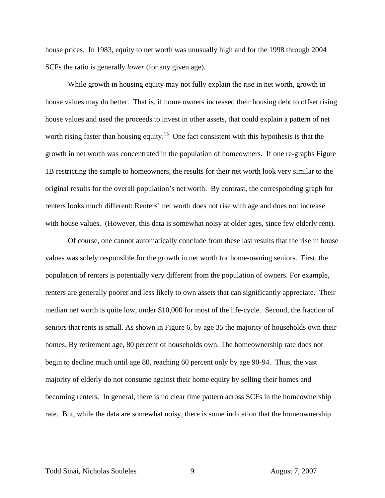house prices. In 1983, equity to net worth was unusually high and for the 1998 through 2004 SCFs the ratio is generally *lower* (for any given age).

 While growth in housing equity may not fully explain the rise in net worth, growth in house values may do better. That is, if home owners increased their housing debt to offset rising house values and used the proceeds to invest in other assets, that could explain a pattern of net worth rising faster than housing equity.<sup>13</sup> One fact consistent with this hypothesis is that the growth in net worth was concentrated in the population of homeowners. If one re-graphs Figure 1B restricting the sample to homeowners, the results for their net worth look very similar to the original results for the overall population's net worth. By contrast, the corresponding graph for renters looks much different: Renters' net worth does not rise with age and does not increase with house values. (However, this data is somewhat noisy at older ages, since few elderly rent).

Of course, one cannot automatically conclude from these last results that the rise in house values was solely responsible for the growth in net worth for home-owning seniors. First, the population of renters is potentially very different from the population of owners. For example, renters are generally poorer and less likely to own assets that can significantly appreciate. Their median net worth is quite low, under \$10,000 for most of the life-cycle. Second, the fraction of seniors that rents is small. As shown in Figure 6, by age 35 the majority of households own their homes. By retirement age, 80 percent of households own. The homeownership rate does not begin to decline much until age 80, reaching 60 percent only by age 90-94. Thus, the vast majority of elderly do not consume against their home equity by selling their homes and becoming renters. In general, there is no clear time pattern across SCFs in the homeownership rate. But, while the data are somewhat noisy, there is some indication that the homeownership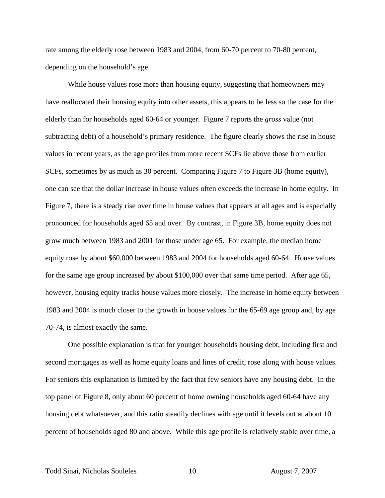rate among the elderly rose between 1983 and 2004, from 60-70 percent to 70-80 percent, depending on the household's age.

While house values rose more than housing equity, suggesting that homeowners may have reallocated their housing equity into other assets, this appears to be less so the case for the elderly than for households aged 60-64 or younger. Figure 7 reports the *gross* value (not subtracting debt) of a household's primary residence. The figure clearly shows the rise in house values in recent years, as the age profiles from more recent SCFs lie above those from earlier SCFs, sometimes by as much as 30 percent. Comparing Figure 7 to Figure 3B (home equity), one can see that the dollar increase in house values often exceeds the increase in home equity. In Figure 7, there is a steady rise over time in house values that appears at all ages and is especially pronounced for households aged 65 and over. By contrast, in Figure 3B, home equity does not grow much between 1983 and 2001 for those under age 65. For example, the median home equity rose by about \$60,000 between 1983 and 2004 for households aged 60-64. House values for the same age group increased by about \$100,000 over that same time period. After age 65, however, housing equity tracks house values more closely. The increase in home equity between 1983 and 2004 is much closer to the growth in house values for the 65-69 age group and, by age 70-74, is almost exactly the same.

 One possible explanation is that for younger households housing debt, including first and second mortgages as well as home equity loans and lines of credit, rose along with house values. For seniors this explanation is limited by the fact that few seniors have any housing debt. In the top panel of Figure 8, only about 60 percent of home owning households aged 60-64 have any housing debt whatsoever, and this ratio steadily declines with age until it levels out at about 10 percent of households aged 80 and above. While this age profile is relatively stable over time, a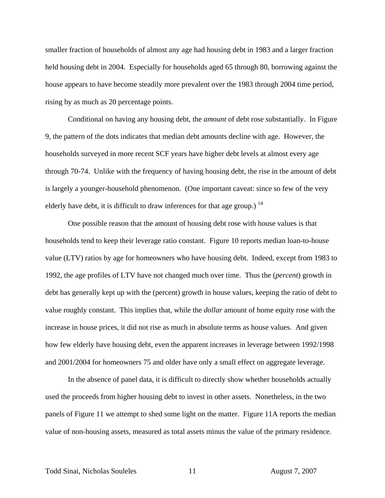smaller fraction of households of almost any age had housing debt in 1983 and a larger fraction held housing debt in 2004. Especially for households aged 65 through 80, borrowing against the house appears to have become steadily more prevalent over the 1983 through 2004 time period, rising by as much as 20 percentage points.

 Conditional on having any housing debt, the *amount* of debt rose substantially. In Figure 9, the pattern of the dots indicates that median debt amounts decline with age. However, the households surveyed in more recent SCF years have higher debt levels at almost every age through 70-74. Unlike with the frequency of having housing debt, the rise in the amount of debt is largely a younger-household phenomenon. (One important caveat: since so few of the very elderly have debt, it is difficult to draw inferences for that age group.)  $^{14}$ 

 One possible reason that the amount of housing debt rose with house values is that households tend to keep their leverage ratio constant. Figure 10 reports median loan-to-house value (LTV) ratios by age for homeowners who have housing debt. Indeed, except from 1983 to 1992, the age profiles of LTV have not changed much over time. Thus the (*percent*) growth in debt has generally kept up with the (percent) growth in house values, keeping the ratio of debt to value roughly constant. This implies that, while the *dollar* amount of home equity rose with the increase in house prices, it did not rise as much in absolute terms as house values. And given how few elderly have housing debt, even the apparent increases in leverage between 1992/1998 and 2001/2004 for homeowners 75 and older have only a small effect on aggregate leverage.

 In the absence of panel data, it is difficult to directly show whether households actually used the proceeds from higher housing debt to invest in other assets. Nonetheless, in the two panels of Figure 11 we attempt to shed some light on the matter. Figure 11A reports the median value of non-housing assets, measured as total assets minus the value of the primary residence.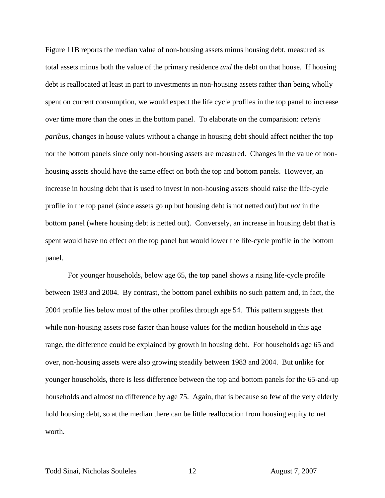Figure 11B reports the median value of non-housing assets minus housing debt, measured as total assets minus both the value of the primary residence *and* the debt on that house. If housing debt is reallocated at least in part to investments in non-housing assets rather than being wholly spent on current consumption, we would expect the life cycle profiles in the top panel to increase over time more than the ones in the bottom panel. To elaborate on the comparision: *ceteris paribus*, changes in house values without a change in housing debt should affect neither the top nor the bottom panels since only non-housing assets are measured. Changes in the value of nonhousing assets should have the same effect on both the top and bottom panels. However, an increase in housing debt that is used to invest in non-housing assets should raise the life-cycle profile in the top panel (since assets go up but housing debt is not netted out) but *not* in the bottom panel (where housing debt is netted out). Conversely, an increase in housing debt that is spent would have no effect on the top panel but would lower the life-cycle profile in the bottom panel.

 For younger households, below age 65, the top panel shows a rising life-cycle profile between 1983 and 2004. By contrast, the bottom panel exhibits no such pattern and, in fact, the 2004 profile lies below most of the other profiles through age 54. This pattern suggests that while non-housing assets rose faster than house values for the median household in this age range, the difference could be explained by growth in housing debt. For households age 65 and over, non-housing assets were also growing steadily between 1983 and 2004. But unlike for younger households, there is less difference between the top and bottom panels for the 65-and-up households and almost no difference by age 75. Again, that is because so few of the very elderly hold housing debt, so at the median there can be little reallocation from housing equity to net worth.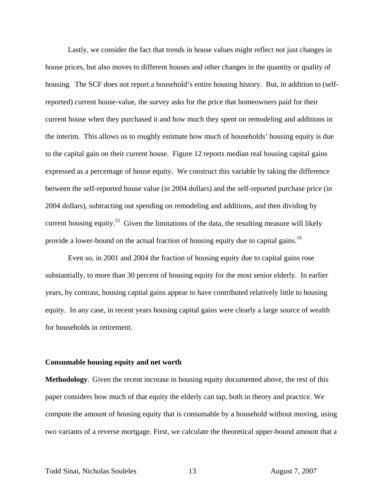Lastly, we consider the fact that trends in house values might reflect not just changes in house prices, but also moves to different houses and other changes in the quantity or quality of housing. The SCF does not report a household's entire housing history. But, in addition to (selfreported) current house-value, the survey asks for the price that homeowners paid for their current house when they purchased it and how much they spent on remodeling and additions in the interim. This allows us to roughly estimate how much of households' housing equity is due to the capital gain on their current house. Figure 12 reports median real housing capital gains expressed as a percentage of house equity. We construct this variable by taking the difference between the self-reported house value (in 2004 dollars) and the self-reported purchase price (in 2004 dollars), subtracting out spending on remodeling and additions, and then dividing by current housing equity.<sup>15</sup> Given the limitations of the data, the resulting measure will likely provide a lower-bound on the actual fraction of housing equity due to capital gains.<sup>16</sup>

 Even so, in 2001 and 2004 the fraction of housing equity due to capital gains rose substantially, to more than 30 percent of housing equity for the most senior elderly. In earlier years, by contrast, housing capital gains appear to have contributed relatively little to housing equity. In any case, in recent years housing capital gains were clearly a large source of wealth for households in retirement.

#### **Consumable housing equity and net worth**

**Methodology**. Given the recent increase in housing equity documented above, the rest of this paper considers how much of that equity the elderly can tap, both in theory and practice. We compute the amount of housing equity that is consumable by a household without moving, using two variants of a reverse mortgage. First, we calculate the theoretical upper-bound amount that a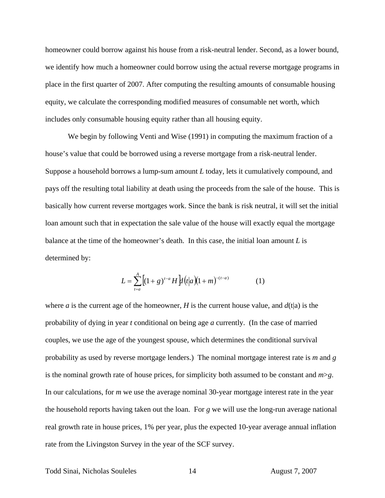homeowner could borrow against his house from a risk-neutral lender. Second, as a lower bound, we identify how much a homeowner could borrow using the actual reverse mortgage programs in place in the first quarter of 2007. After computing the resulting amounts of consumable housing equity, we calculate the corresponding modified measures of consumable net worth, which includes only consumable housing equity rather than all housing equity.

We begin by following Venti and Wise (1991) in computing the maximum fraction of a house's value that could be borrowed using a reverse mortgage from a risk-neutral lender. Suppose a household borrows a lump-sum amount *L* today, lets it cumulatively compound, and pays off the resulting total liability at death using the proceeds from the sale of the house. This is basically how current reverse mortgages work. Since the bank is risk neutral, it will set the initial loan amount such that in expectation the sale value of the house will exactly equal the mortgage balance at the time of the homeowner's death. In this case, the initial loan amount *L* is determined by:

$$
L = \sum_{t=a}^{A} \left[ (1+g)^{t-a} H \right] \frac{d}{dt} \left( t \right| a \left( (1+m)^{-(t-a)} \right) \tag{1}
$$

where *a* is the current age of the homeowner, *H* is the current house value, and  $d(t|a)$  is the probability of dying in year *t* conditional on being age *a* currently. (In the case of married couples, we use the age of the youngest spouse, which determines the conditional survival probability as used by reverse mortgage lenders.) The nominal mortgage interest rate is *m* and *g* is the nominal growth rate of house prices, for simplicity both assumed to be constant and *m*>*g*. In our calculations, for *m* we use the average nominal 30-year mortgage interest rate in the year the household reports having taken out the loan. For *g* we will use the long-run average national real growth rate in house prices, 1% per year, plus the expected 10-year average annual inflation rate from the Livingston Survey in the year of the SCF survey.

Todd Sinai, Nicholas Souleles 14 August 7, 2007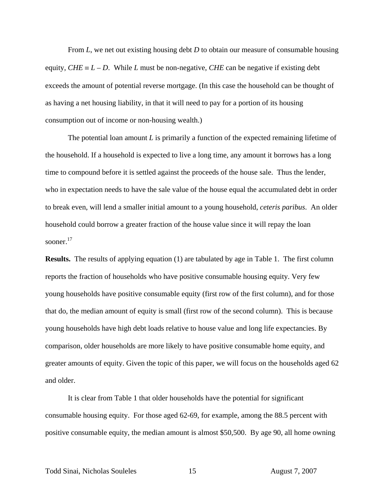From *L*, we net out existing housing debt *D* to obtain our measure of consumable housing equity,  $CHE \equiv L - D$ . While *L* must be non-negative, *CHE* can be negative if existing debt exceeds the amount of potential reverse mortgage. (In this case the household can be thought of as having a net housing liability, in that it will need to pay for a portion of its housing consumption out of income or non-housing wealth.)

The potential loan amount *L* is primarily a function of the expected remaining lifetime of the household. If a household is expected to live a long time, any amount it borrows has a long time to compound before it is settled against the proceeds of the house sale. Thus the lender, who in expectation needs to have the sale value of the house equal the accumulated debt in order to break even, will lend a smaller initial amount to a young household, *ceteris paribus*. An older household could borrow a greater fraction of the house value since it will repay the loan sooner.17

**Results.** The results of applying equation (1) are tabulated by age in Table 1. The first column reports the fraction of households who have positive consumable housing equity. Very few young households have positive consumable equity (first row of the first column), and for those that do, the median amount of equity is small (first row of the second column). This is because young households have high debt loads relative to house value and long life expectancies. By comparison, older households are more likely to have positive consumable home equity, and greater amounts of equity. Given the topic of this paper, we will focus on the households aged 62 and older.

 It is clear from Table 1 that older households have the potential for significant consumable housing equity. For those aged 62-69, for example, among the 88.5 percent with positive consumable equity, the median amount is almost \$50,500. By age 90, all home owning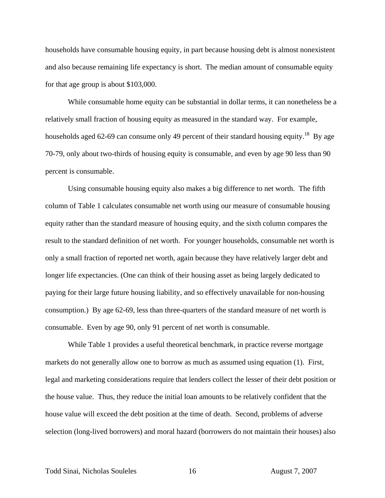households have consumable housing equity, in part because housing debt is almost nonexistent and also because remaining life expectancy is short. The median amount of consumable equity for that age group is about \$103,000.

 While consumable home equity can be substantial in dollar terms, it can nonetheless be a relatively small fraction of housing equity as measured in the standard way. For example, households aged 62-69 can consume only 49 percent of their standard housing equity.<sup>18</sup> By age 70-79, only about two-thirds of housing equity is consumable, and even by age 90 less than 90 percent is consumable.

 Using consumable housing equity also makes a big difference to net worth. The fifth column of Table 1 calculates consumable net worth using our measure of consumable housing equity rather than the standard measure of housing equity, and the sixth column compares the result to the standard definition of net worth. For younger households, consumable net worth is only a small fraction of reported net worth, again because they have relatively larger debt and longer life expectancies. (One can think of their housing asset as being largely dedicated to paying for their large future housing liability, and so effectively unavailable for non-housing consumption.) By age 62-69, less than three-quarters of the standard measure of net worth is consumable. Even by age 90, only 91 percent of net worth is consumable.

 While Table 1 provides a useful theoretical benchmark, in practice reverse mortgage markets do not generally allow one to borrow as much as assumed using equation (1). First, legal and marketing considerations require that lenders collect the lesser of their debt position or the house value. Thus, they reduce the initial loan amounts to be relatively confident that the house value will exceed the debt position at the time of death. Second, problems of adverse selection (long-lived borrowers) and moral hazard (borrowers do not maintain their houses) also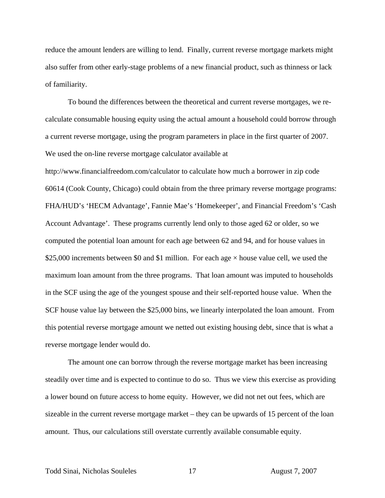reduce the amount lenders are willing to lend. Finally, current reverse mortgage markets might also suffer from other early-stage problems of a new financial product, such as thinness or lack of familiarity.

 To bound the differences between the theoretical and current reverse mortgages, we recalculate consumable housing equity using the actual amount a household could borrow through a current reverse mortgage, using the program parameters in place in the first quarter of 2007. We used the on-line reverse mortgage calculator available at

http://www.financialfreedom.com/calculator to calculate how much a borrower in zip code 60614 (Cook County, Chicago) could obtain from the three primary reverse mortgage programs: FHA/HUD's 'HECM Advantage', Fannie Mae's 'Homekeeper', and Financial Freedom's 'Cash Account Advantage'. These programs currently lend only to those aged 62 or older, so we computed the potential loan amount for each age between 62 and 94, and for house values in \$25,000 increments between \$0 and \$1 million. For each age  $\times$  house value cell, we used the maximum loan amount from the three programs. That loan amount was imputed to households in the SCF using the age of the youngest spouse and their self-reported house value. When the SCF house value lay between the \$25,000 bins, we linearly interpolated the loan amount. From this potential reverse mortgage amount we netted out existing housing debt, since that is what a reverse mortgage lender would do.

The amount one can borrow through the reverse mortgage market has been increasing steadily over time and is expected to continue to do so. Thus we view this exercise as providing a lower bound on future access to home equity. However, we did not net out fees, which are sizeable in the current reverse mortgage market – they can be upwards of 15 percent of the loan amount. Thus, our calculations still overstate currently available consumable equity.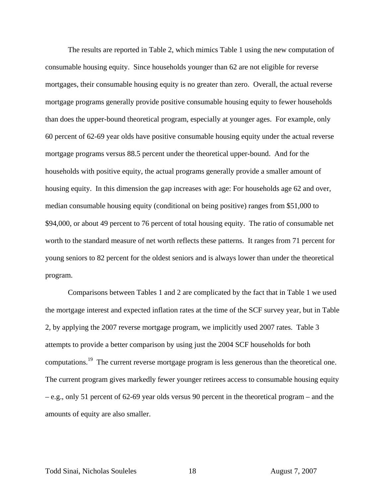The results are reported in Table 2, which mimics Table 1 using the new computation of consumable housing equity. Since households younger than 62 are not eligible for reverse mortgages, their consumable housing equity is no greater than zero. Overall, the actual reverse mortgage programs generally provide positive consumable housing equity to fewer households than does the upper-bound theoretical program, especially at younger ages. For example, only 60 percent of 62-69 year olds have positive consumable housing equity under the actual reverse mortgage programs versus 88.5 percent under the theoretical upper-bound. And for the households with positive equity, the actual programs generally provide a smaller amount of housing equity. In this dimension the gap increases with age: For households age 62 and over, median consumable housing equity (conditional on being positive) ranges from \$51,000 to \$94,000, or about 49 percent to 76 percent of total housing equity. The ratio of consumable net worth to the standard measure of net worth reflects these patterns. It ranges from 71 percent for young seniors to 82 percent for the oldest seniors and is always lower than under the theoretical program.

 Comparisons between Tables 1 and 2 are complicated by the fact that in Table 1 we used the mortgage interest and expected inflation rates at the time of the SCF survey year, but in Table 2, by applying the 2007 reverse mortgage program, we implicitly used 2007 rates. Table 3 attempts to provide a better comparison by using just the 2004 SCF households for both computations.<sup>19</sup> The current reverse mortgage program is less generous than the theoretical one. The current program gives markedly fewer younger retirees access to consumable housing equity – e.g., only 51 percent of 62-69 year olds versus 90 percent in the theoretical program – and the amounts of equity are also smaller.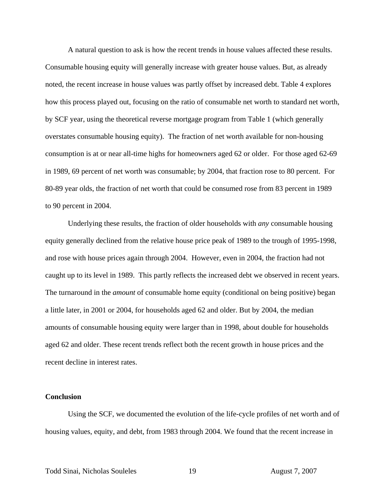A natural question to ask is how the recent trends in house values affected these results. Consumable housing equity will generally increase with greater house values. But, as already noted, the recent increase in house values was partly offset by increased debt. Table 4 explores how this process played out, focusing on the ratio of consumable net worth to standard net worth, by SCF year, using the theoretical reverse mortgage program from Table 1 (which generally overstates consumable housing equity). The fraction of net worth available for non-housing consumption is at or near all-time highs for homeowners aged 62 or older. For those aged 62-69 in 1989, 69 percent of net worth was consumable; by 2004, that fraction rose to 80 percent. For 80-89 year olds, the fraction of net worth that could be consumed rose from 83 percent in 1989 to 90 percent in 2004.

 Underlying these results, the fraction of older households with *any* consumable housing equity generally declined from the relative house price peak of 1989 to the trough of 1995-1998, and rose with house prices again through 2004. However, even in 2004, the fraction had not caught up to its level in 1989. This partly reflects the increased debt we observed in recent years. The turnaround in the *amount* of consumable home equity (conditional on being positive) began a little later, in 2001 or 2004, for households aged 62 and older. But by 2004, the median amounts of consumable housing equity were larger than in 1998, about double for households aged 62 and older. These recent trends reflect both the recent growth in house prices and the recent decline in interest rates.

# **Conclusion**

 Using the SCF, we documented the evolution of the life-cycle profiles of net worth and of housing values, equity, and debt, from 1983 through 2004. We found that the recent increase in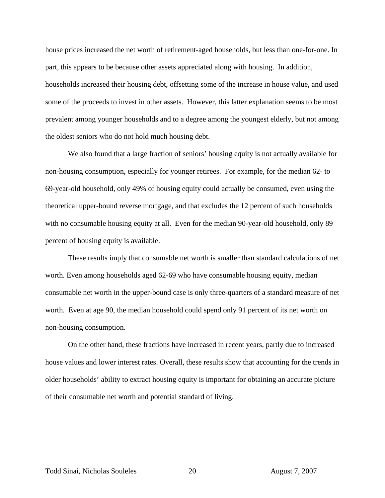house prices increased the net worth of retirement-aged households, but less than one-for-one. In part, this appears to be because other assets appreciated along with housing. In addition, households increased their housing debt, offsetting some of the increase in house value, and used some of the proceeds to invest in other assets. However, this latter explanation seems to be most prevalent among younger households and to a degree among the youngest elderly, but not among the oldest seniors who do not hold much housing debt.

 We also found that a large fraction of seniors' housing equity is not actually available for non-housing consumption, especially for younger retirees. For example, for the median 62- to 69-year-old household, only 49% of housing equity could actually be consumed, even using the theoretical upper-bound reverse mortgage, and that excludes the 12 percent of such households with no consumable housing equity at all. Even for the median 90-year-old household, only 89 percent of housing equity is available.

These results imply that consumable net worth is smaller than standard calculations of net worth. Even among households aged 62-69 who have consumable housing equity, median consumable net worth in the upper-bound case is only three-quarters of a standard measure of net worth. Even at age 90, the median household could spend only 91 percent of its net worth on non-housing consumption.

On the other hand, these fractions have increased in recent years, partly due to increased house values and lower interest rates. Overall, these results show that accounting for the trends in older households' ability to extract housing equity is important for obtaining an accurate picture of their consumable net worth and potential standard of living.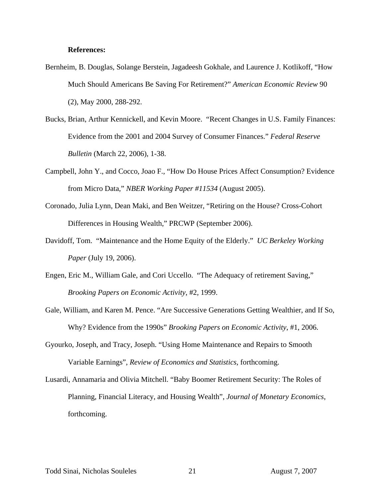## **References:**

- Bernheim, B. Douglas, Solange Berstein, Jagadeesh Gokhale, and Laurence J. Kotlikoff, "How Much Should Americans Be Saving For Retirement?" *American Economic Review* 90 (2), May 2000, 288-292.
- Bucks, Brian, Arthur Kennickell, and Kevin Moore. "Recent Changes in U.S. Family Finances: Evidence from the 2001 and 2004 Survey of Consumer Finances." *Federal Reserve Bulletin* (March 22, 2006), 1-38.
- Campbell, John Y., and Cocco, Joao F., "How Do House Prices Affect Consumption? Evidence from Micro Data," *NBER Working Paper #11534* (August 2005).
- Coronado, Julia Lynn, Dean Maki, and Ben Weitzer, "Retiring on the House? Cross-Cohort Differences in Housing Wealth," PRCWP (September 2006).
- Davidoff, Tom. "Maintenance and the Home Equity of the Elderly." *UC Berkeley Working Paper* (July 19, 2006).
- Engen, Eric M., William Gale, and Cori Uccello. "The Adequacy of retirement Saving," *Brooking Papers on Economic Activity*, #2, 1999.
- Gale, William, and Karen M. Pence. "Are Successive Generations Getting Wealthier, and If So, Why? Evidence from the 1990s" *Brooking Papers on Economic Activity*, #1, 2006.
- Gyourko, Joseph, and Tracy, Joseph. "Using Home Maintenance and Repairs to Smooth Variable Earnings", *Review of Economics and Statistics*, forthcoming.
- Lusardi, Annamaria and Olivia Mitchell. "Baby Boomer Retirement Security: The Roles of Planning, Financial Literacy, and Housing Wealth", *Journal of Monetary Economics*, forthcoming.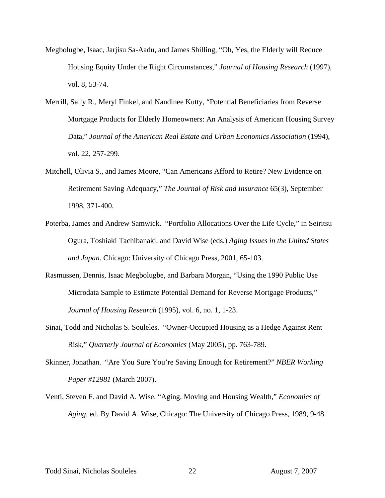- Megbolugbe, Isaac, Jarjisu Sa-Aadu, and James Shilling, "Oh, Yes, the Elderly will Reduce Housing Equity Under the Right Circumstances," *Journal of Housing Research* (1997), vol. 8, 53-74.
- Merrill, Sally R., Meryl Finkel, and Nandinee Kutty, "Potential Beneficiaries from Reverse Mortgage Products for Elderly Homeowners: An Analysis of American Housing Survey Data," *Journal of the American Real Estate and Urban Economics Association* (1994), vol. 22, 257-299.
- Mitchell, Olivia S., and James Moore, "Can Americans Afford to Retire? New Evidence on Retirement Saving Adequacy," *The Journal of Risk and Insurance* 65(3), September 1998, 371-400.
- Poterba, James and Andrew Samwick. "Portfolio Allocations Over the Life Cycle," in Seiritsu Ogura, Toshiaki Tachibanaki, and David Wise (eds.) *Aging Issues in the United States and Japan*. Chicago: University of Chicago Press, 2001, 65-103.
- Rasmussen, Dennis, Isaac Megbolugbe, and Barbara Morgan, "Using the 1990 Public Use Microdata Sample to Estimate Potential Demand for Reverse Mortgage Products," *Journal of Housing Research* (1995), vol. 6, no. 1, 1-23.
- Sinai, Todd and Nicholas S. Souleles. "Owner-Occupied Housing as a Hedge Against Rent Risk," *Quarterly Journal of Economics* (May 2005), pp. 763-789.
- Skinner, Jonathan. "Are You Sure You're Saving Enough for Retirement?" *NBER Working Paper #12981* (March 2007).
- Venti, Steven F. and David A. Wise. "Aging, Moving and Housing Wealth," *Economics of Aging*, ed. By David A. Wise, Chicago: The University of Chicago Press, 1989, 9-48.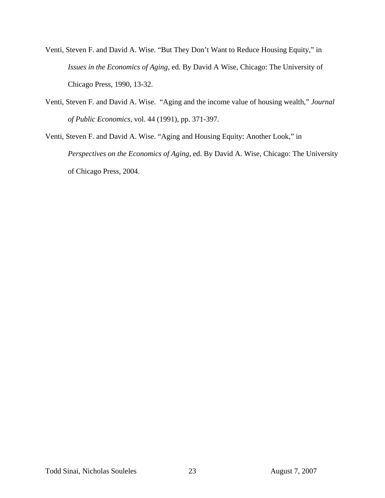- Venti, Steven F. and David A. Wise. "But They Don't Want to Reduce Housing Equity," in *Issues in the Economics of Aging*, ed. By David A Wise, Chicago: The University of Chicago Press, 1990, 13-32.
- Venti, Steven F. and David A. Wise. "Aging and the income value of housing wealth," *Journal of Public Economics*, vol. 44 (1991), pp. 371-397.
- Venti, Steven F. and David A. Wise. "Aging and Housing Equity: Another Look," in *Perspectives on the Economics of Aging*, ed. By David A. Wise, Chicago: The University of Chicago Press, 2004.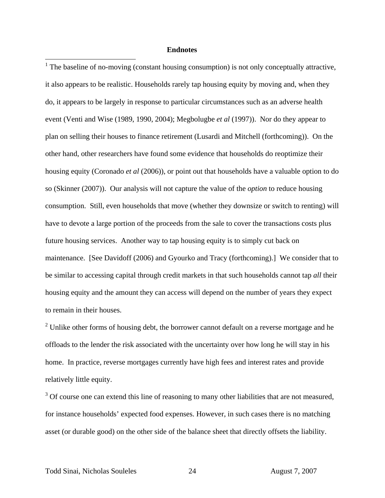### **Endnotes**

 $<sup>1</sup>$  The baseline of no-moving (constant housing consumption) is not only conceptually attractive,</sup> it also appears to be realistic. Households rarely tap housing equity by moving and, when they do, it appears to be largely in response to particular circumstances such as an adverse health event (Venti and Wise (1989, 1990, 2004); Megbolugbe *et al* (1997)). Nor do they appear to plan on selling their houses to finance retirement (Lusardi and Mitchell (forthcoming)). On the other hand, other researchers have found some evidence that households do reoptimize their housing equity (Coronado *et al* (2006)), or point out that households have a valuable option to do so (Skinner (2007)). Our analysis will not capture the value of the *option* to reduce housing consumption. Still, even households that move (whether they downsize or switch to renting) will have to devote a large portion of the proceeds from the sale to cover the transactions costs plus future housing services. Another way to tap housing equity is to simply cut back on maintenance. [See Davidoff (2006) and Gyourko and Tracy (forthcoming).] We consider that to be similar to accessing capital through credit markets in that such households cannot tap *all* their housing equity and the amount they can access will depend on the number of years they expect to remain in their houses.

 $2^2$  Unlike other forms of housing debt, the borrower cannot default on a reverse mortgage and he offloads to the lender the risk associated with the uncertainty over how long he will stay in his home. In practice, reverse mortgages currently have high fees and interest rates and provide relatively little equity.

 $3$  Of course one can extend this line of reasoning to many other liabilities that are not measured, for instance households' expected food expenses. However, in such cases there is no matching asset (or durable good) on the other side of the balance sheet that directly offsets the liability.

 $\overline{a}$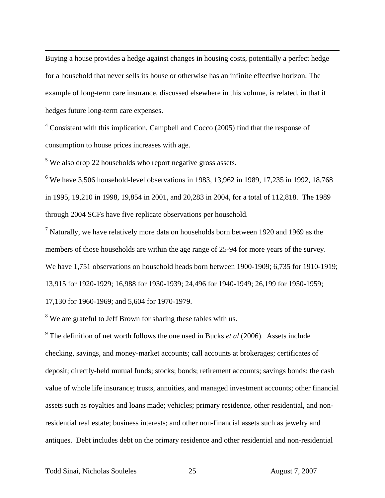Buying a house provides a hedge against changes in housing costs, potentially a perfect hedge for a household that never sells its house or otherwise has an infinite effective horizon. The example of long-term care insurance, discussed elsewhere in this volume, is related, in that it hedges future long-term care expenses.

 $4$  Consistent with this implication, Campbell and Cocco (2005) find that the response of consumption to house prices increases with age.

 $5$  We also drop 22 households who report negative gross assets.

 $\overline{a}$ 

<sup>6</sup> We have 3,506 household-level observations in 1983, 13,962 in 1989, 17,235 in 1992, 18,768 in 1995, 19,210 in 1998, 19,854 in 2001, and 20,283 in 2004, for a total of 112,818. The 1989 through 2004 SCFs have five replicate observations per household.

 $<sup>7</sup>$  Naturally, we have relatively more data on households born between 1920 and 1969 as the</sup> members of those households are within the age range of 25-94 for more years of the survey. We have 1,751 observations on household heads born between 1900-1909; 6,735 for 1910-1919; 13,915 for 1920-1929; 16,988 for 1930-1939; 24,496 for 1940-1949; 26,199 for 1950-1959; 17,130 for 1960-1969; and 5,604 for 1970-1979.

 $8$  We are grateful to Jeff Brown for sharing these tables with us.

9 The definition of net worth follows the one used in Bucks *et al* (2006). Assets include checking, savings, and money-market accounts; call accounts at brokerages; certificates of deposit; directly-held mutual funds; stocks; bonds; retirement accounts; savings bonds; the cash value of whole life insurance; trusts, annuities, and managed investment accounts; other financial assets such as royalties and loans made; vehicles; primary residence, other residential, and nonresidential real estate; business interests; and other non-financial assets such as jewelry and antiques. Debt includes debt on the primary residence and other residential and non-residential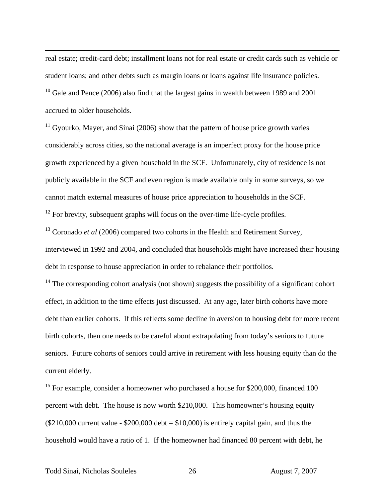real estate; credit-card debt; installment loans not for real estate or credit cards such as vehicle or student loans; and other debts such as margin loans or loans against life insurance policies.  $10$  Gale and Pence (2006) also find that the largest gains in wealth between 1989 and 2001 accrued to older households.

 $11$  Gyourko, Mayer, and Sinai (2006) show that the pattern of house price growth varies considerably across cities, so the national average is an imperfect proxy for the house price growth experienced by a given household in the SCF. Unfortunately, city of residence is not publicly available in the SCF and even region is made available only in some surveys, so we cannot match external measures of house price appreciation to households in the SCF.

 $12$  For brevity, subsequent graphs will focus on the over-time life-cycle profiles.

<sup>13</sup> Coronado *et al* (2006) compared two cohorts in the Health and Retirement Survey, interviewed in 1992 and 2004, and concluded that households might have increased their housing debt in response to house appreciation in order to rebalance their portfolios.

<sup>14</sup> The corresponding cohort analysis (not shown) suggests the possibility of a significant cohort effect, in addition to the time effects just discussed. At any age, later birth cohorts have more debt than earlier cohorts. If this reflects some decline in aversion to housing debt for more recent birth cohorts, then one needs to be careful about extrapolating from today's seniors to future seniors. Future cohorts of seniors could arrive in retirement with less housing equity than do the current elderly.

<sup>15</sup> For example, consider a homeowner who purchased a house for \$200,000, financed 100 percent with debt. The house is now worth \$210,000. This homeowner's housing equity  $($210,000$  current value - \$200,000 debt = \$10,000) is entirely capital gain, and thus the household would have a ratio of 1. If the homeowner had financed 80 percent with debt, he

 $\overline{a}$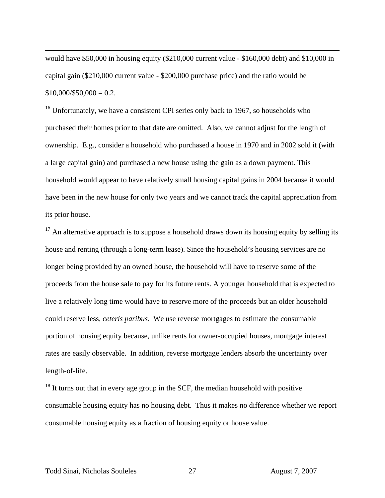would have \$50,000 in housing equity (\$210,000 current value - \$160,000 debt) and \$10,000 in capital gain (\$210,000 current value - \$200,000 purchase price) and the ratio would be  $$10,000/\$50,000 = 0.2.$ 

 $16$  Unfortunately, we have a consistent CPI series only back to 1967, so households who purchased their homes prior to that date are omitted. Also, we cannot adjust for the length of ownership. E.g., consider a household who purchased a house in 1970 and in 2002 sold it (with a large capital gain) and purchased a new house using the gain as a down payment. This household would appear to have relatively small housing capital gains in 2004 because it would have been in the new house for only two years and we cannot track the capital appreciation from its prior house.

 $17$  An alternative approach is to suppose a household draws down its housing equity by selling its house and renting (through a long-term lease). Since the household's housing services are no longer being provided by an owned house, the household will have to reserve some of the proceeds from the house sale to pay for its future rents. A younger household that is expected to live a relatively long time would have to reserve more of the proceeds but an older household could reserve less, *ceteris paribus*. We use reverse mortgages to estimate the consumable portion of housing equity because, unlike rents for owner-occupied houses, mortgage interest rates are easily observable. In addition, reverse mortgage lenders absorb the uncertainty over length-of-life.

 $18$  It turns out that in every age group in the SCF, the median household with positive consumable housing equity has no housing debt. Thus it makes no difference whether we report consumable housing equity as a fraction of housing equity or house value.

 $\overline{a}$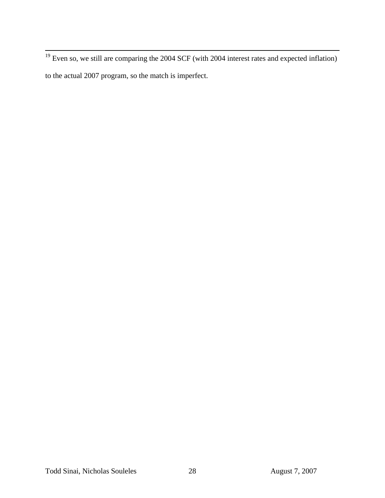$19$  Even so, we still are comparing the 2004 SCF (with 2004 interest rates and expected inflation) to the actual 2007 program, so the match is imperfect.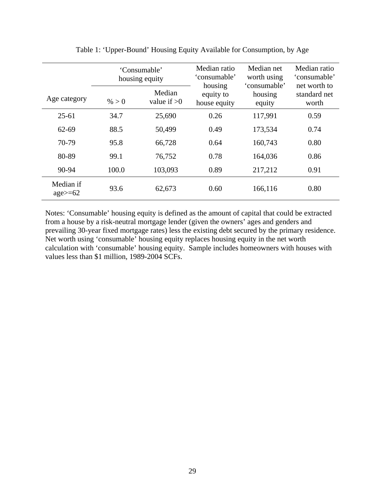|                            |       | 'Consumable'<br>housing equity | Median ratio<br>'consumable'         | Median net<br>worth using<br>'consumable' | Median ratio<br>'consumable'          |
|----------------------------|-------|--------------------------------|--------------------------------------|-------------------------------------------|---------------------------------------|
| Age category               | % > 0 | Median<br>value if $>0$        | housing<br>equity to<br>house equity | housing<br>equity                         | net worth to<br>standard net<br>worth |
| $25 - 61$                  | 34.7  | 25,690                         | 0.26                                 | 117,991                                   | 0.59                                  |
| 62-69                      | 88.5  | 50,499                         | 0.49                                 | 173,534                                   | 0.74                                  |
| 70-79                      | 95.8  | 66,728                         | 0.64                                 | 160,743                                   | 0.80                                  |
| 80-89                      | 99.1  | 76,752                         | 0.78                                 | 164,036                                   | 0.86                                  |
| 90-94                      | 100.0 | 103,093                        | 0.89                                 | 217,212                                   | 0.91                                  |
| Median if<br>$age \geq 62$ | 93.6  | 62,673                         | 0.60                                 | 166,116                                   | 0.80                                  |

Table 1: 'Upper-Bound' Housing Equity Available for Consumption, by Age

Notes: 'Consumable' housing equity is defined as the amount of capital that could be extracted from a house by a risk-neutral mortgage lender (given the owners' ages and genders and prevailing 30-year fixed mortgage rates) less the existing debt secured by the primary residence. Net worth using 'consumable' housing equity replaces housing equity in the net worth calculation with 'consumable' housing equity. Sample includes homeowners with houses with values less than \$1 million, 1989-2004 SCFs.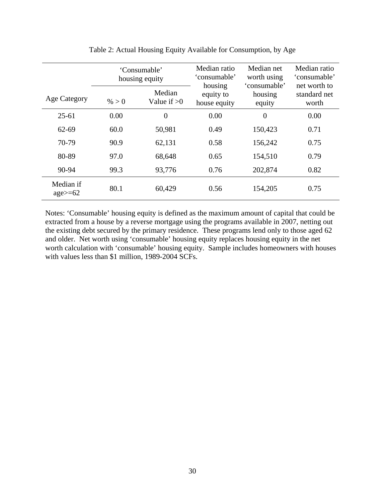|                                   |       | 'Consumable'<br>housing equity | Median ratio<br>'consumable'         | Median net<br>worth using<br>'consumable' | Median ratio<br>'consumable'          |
|-----------------------------------|-------|--------------------------------|--------------------------------------|-------------------------------------------|---------------------------------------|
| Age Category                      | % > 0 | Median<br>Value if $>0$        | housing<br>equity to<br>house equity | housing<br>equity                         | net worth to<br>standard net<br>worth |
| $25 - 61$                         | 0.00  | $\overline{0}$                 | 0.00                                 | $\overline{0}$                            | 0.00                                  |
| $62 - 69$                         | 60.0  | 50,981                         | 0.49                                 | 150,423                                   | 0.71                                  |
| 70-79                             | 90.9  | 62,131                         | 0.58                                 | 156,242                                   | 0.75                                  |
| 80-89                             | 97.0  | 68,648                         | 0.65                                 | 154,510                                   | 0.79                                  |
| 90-94                             | 99.3  | 93,776                         | 0.76                                 | 202,874                                   | 0.82                                  |
| Median if<br>$\text{age} \geq 62$ | 80.1  | 60,429                         | 0.56                                 | 154,205                                   | 0.75                                  |

Table 2: Actual Housing Equity Available for Consumption, by Age

Notes: 'Consumable' housing equity is defined as the maximum amount of capital that could be extracted from a house by a reverse mortgage using the programs available in 2007, netting out the existing debt secured by the primary residence. These programs lend only to those aged 62 and older. Net worth using 'consumable' housing equity replaces housing equity in the net worth calculation with 'consumable' housing equity. Sample includes homeowners with houses with values less than \$1 million, 1989-2004 SCFs.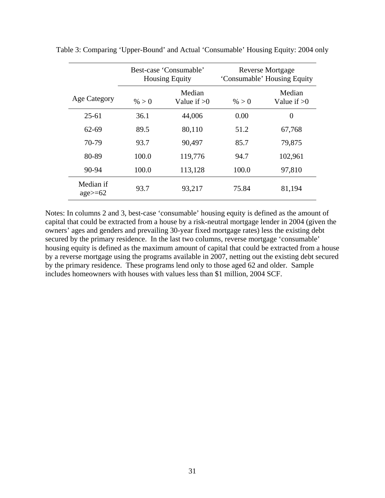|                                   | Best-case 'Consumable'<br><b>Housing Equity</b> |                         | <b>Reverse Mortgage</b><br>'Consumable' Housing Equity |                         |  |
|-----------------------------------|-------------------------------------------------|-------------------------|--------------------------------------------------------|-------------------------|--|
| <b>Age Category</b>               | % > 0                                           | Median<br>Value if $>0$ | % > 0                                                  | Median<br>Value if $>0$ |  |
| $25-61$                           | 36.1                                            | 44,006                  | 0.00                                                   | $\overline{0}$          |  |
| 62-69                             | 89.5                                            | 80,110                  | 51.2                                                   | 67,768                  |  |
| 70-79                             | 93.7                                            | 90,497                  | 85.7                                                   | 79,875                  |  |
| 80-89                             | 100.0                                           | 119,776                 | 94.7                                                   | 102,961                 |  |
| 90-94                             | 100.0                                           | 113,128                 | 100.0                                                  | 97,810                  |  |
| Median if<br>$\text{age} \geq 62$ | 93.7                                            | 93,217                  | 75.84                                                  | 81,194                  |  |

Table 3: Comparing 'Upper-Bound' and Actual 'Consumable' Housing Equity: 2004 only

Notes: In columns 2 and 3, best-case 'consumable' housing equity is defined as the amount of capital that could be extracted from a house by a risk-neutral mortgage lender in 2004 (given the owners' ages and genders and prevailing 30-year fixed mortgage rates) less the existing debt secured by the primary residence. In the last two columns, reverse mortgage 'consumable' housing equity is defined as the maximum amount of capital that could be extracted from a house by a reverse mortgage using the programs available in 2007, netting out the existing debt secured by the primary residence. These programs lend only to those aged 62 and older. Sample includes homeowners with houses with values less than \$1 million, 2004 SCF.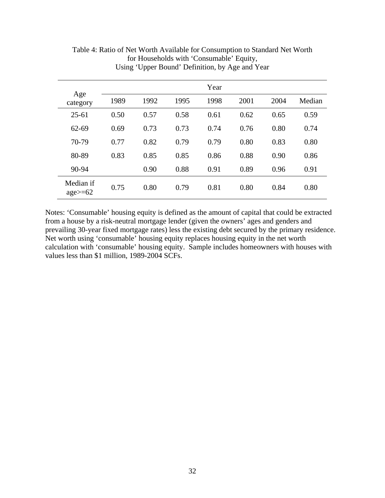|                                   |      |      |      | Year |      |      |        |
|-----------------------------------|------|------|------|------|------|------|--------|
| Age<br>category                   | 1989 | 1992 | 1995 | 1998 | 2001 | 2004 | Median |
| $25 - 61$                         | 0.50 | 0.57 | 0.58 | 0.61 | 0.62 | 0.65 | 0.59   |
| $62 - 69$                         | 0.69 | 0.73 | 0.73 | 0.74 | 0.76 | 0.80 | 0.74   |
| 70-79                             | 0.77 | 0.82 | 0.79 | 0.79 | 0.80 | 0.83 | 0.80   |
| 80-89                             | 0.83 | 0.85 | 0.85 | 0.86 | 0.88 | 0.90 | 0.86   |
| 90-94                             |      | 0.90 | 0.88 | 0.91 | 0.89 | 0.96 | 0.91   |
| Median if<br>$\text{age} \geq 62$ | 0.75 | 0.80 | 0.79 | 0.81 | 0.80 | 0.84 | 0.80   |

Table 4: Ratio of Net Worth Available for Consumption to Standard Net Worth for Households with 'Consumable' Equity, Using 'Upper Bound' Definition, by Age and Year

Notes: 'Consumable' housing equity is defined as the amount of capital that could be extracted from a house by a risk-neutral mortgage lender (given the owners' ages and genders and prevailing 30-year fixed mortgage rates) less the existing debt secured by the primary residence. Net worth using 'consumable' housing equity replaces housing equity in the net worth calculation with 'consumable' housing equity. Sample includes homeowners with houses with values less than \$1 million, 1989-2004 SCFs.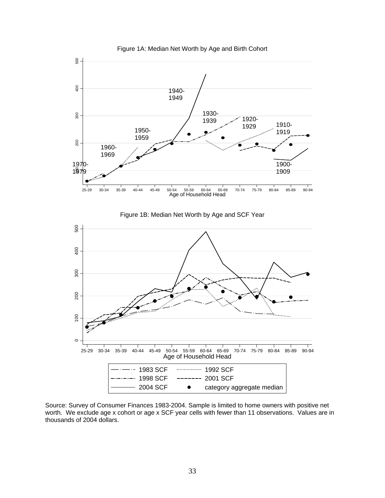

Source: Survey of Consumer Finances 1983-2004. Sample is limited to home owners with positive net worth. We exclude age x cohort or age x SCF year cells with fewer than 11 observations. Values are in thousands of 2004 dollars.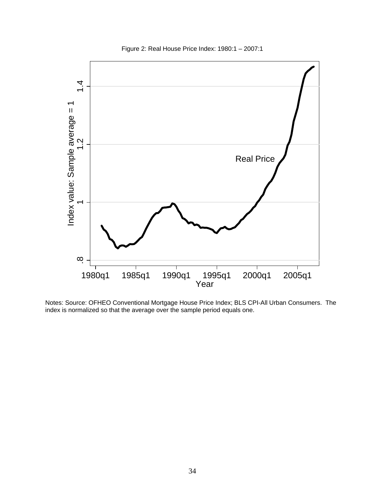Figure 2: Real House Price Index: 1980:1 – 2007:1



Notes: Source: OFHEO Conventional Mortgage House Price Index; BLS CPI-All Urban Consumers. The index is normalized so that the average over the sample period equals one.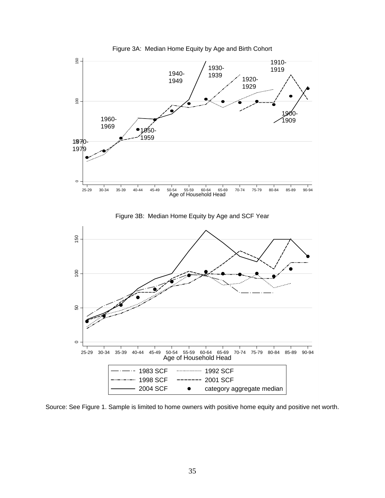

Figure 3A: Median Home Equity by Age and Birth Cohort

Source: See Figure 1. Sample is limited to home owners with positive home equity and positive net worth.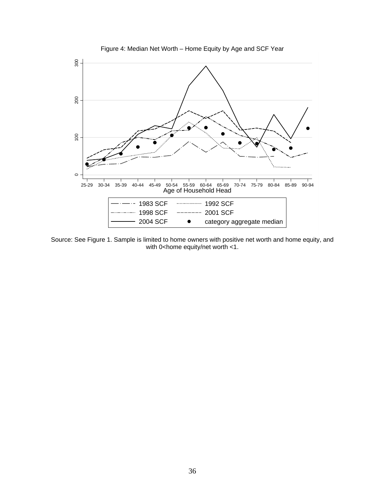

Figure 4: Median Net Worth – Home Equity by Age and SCF Year

Source: See Figure 1. Sample is limited to home owners with positive net worth and home equity, and with 0<home equity/net worth  $<1$ .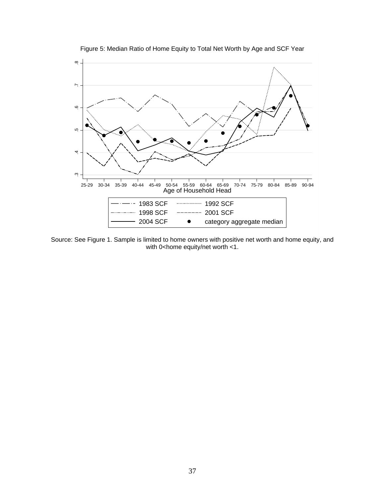

Figure 5: Median Ratio of Home Equity to Total Net Worth by Age and SCF Year

Source: See Figure 1. Sample is limited to home owners with positive net worth and home equity, and with 0<home equity/net worth  $<$ 1.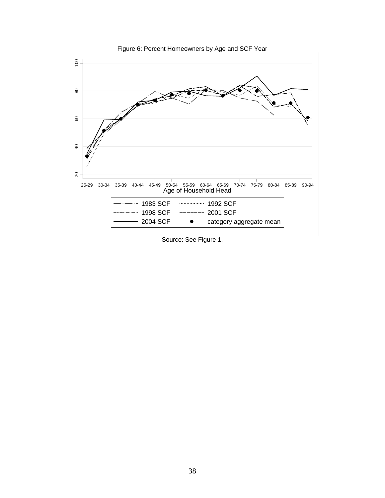

Figure 6: Percent Homeowners by Age and SCF Year

Source: See Figure 1.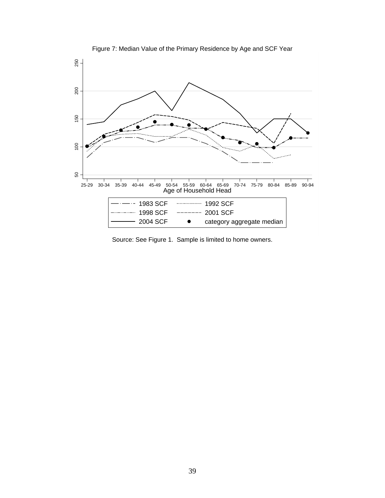

Figure 7: Median Value of the Primary Residence by Age and SCF Year

Source: See Figure 1. Sample is limited to home owners.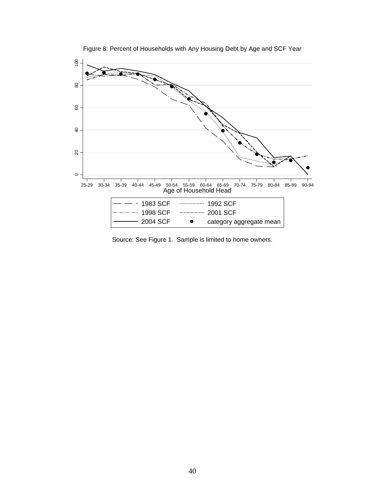

Figure 8: Percent of Households with Any Housing Debt by Age and SCF Year

Source: See Figure 1. Sample is limited to home owners.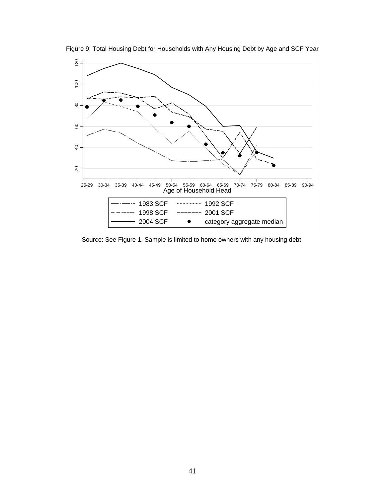

Figure 9: Total Housing Debt for Households with Any Housing Debt by Age and SCF Year

Source: See Figure 1. Sample is limited to home owners with any housing debt.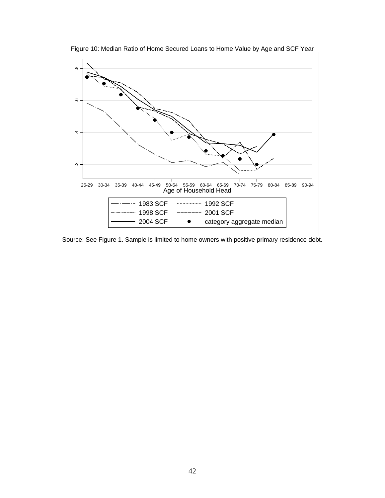

Figure 10: Median Ratio of Home Secured Loans to Home Value by Age and SCF Year

Source: See Figure 1. Sample is limited to home owners with positive primary residence debt.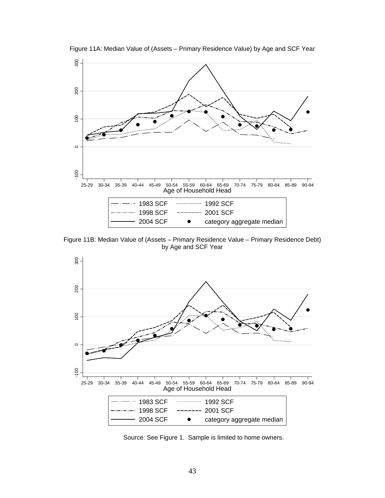

Figure 11A: Median Value of (Assets – Primary Residence Value) by Age and SCF Year

Figure 11B: Median Value of (Assets – Primary Residence Value – Primary Residence Debt) by Age and SCF Year



Source: See Figure 1. Sample is limited to home owners.